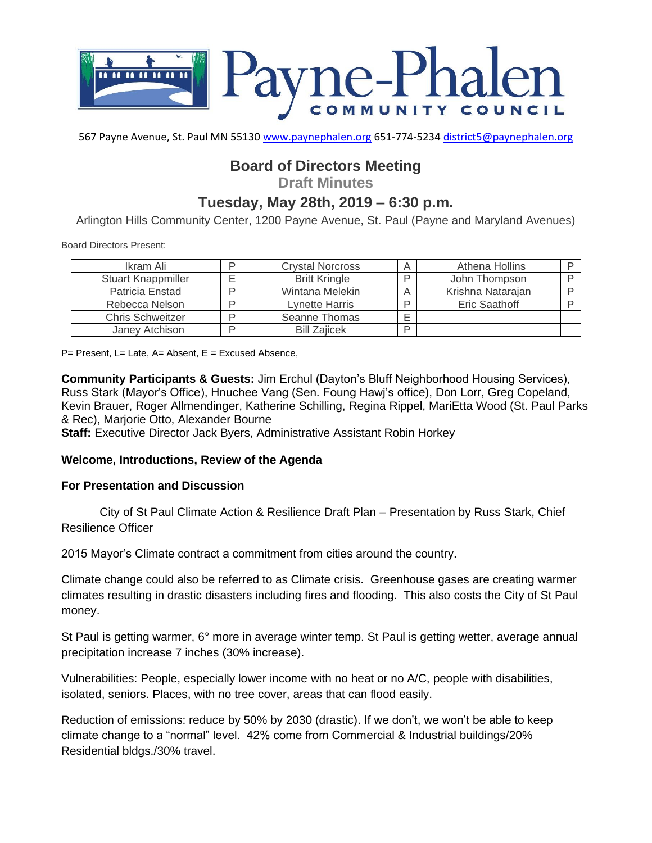

567 Payne Avenue, St. Paul MN 55130 [www.paynephalen.org](http://www.paynephalen.org/) 651-774-5234 [district5@paynephalen.org](mailto:district5@paynephalen.org)

# **Board of Directors Meeting**

**Draft Minutes**

# **Tuesday, May 28th, 2019 – 6:30 p.m.**

Arlington Hills Community Center, 1200 Payne Avenue, St. Paul (Payne and Maryland Avenues)

Board Directors Present:

| Ikram Ali                 | D | <b>Crystal Norcross</b> |   | Athena Hollins    |  |
|---------------------------|---|-------------------------|---|-------------------|--|
| <b>Stuart Knappmiller</b> |   | <b>Britt Kringle</b>    |   | John Thompson     |  |
| Patricia Enstad           | D | Wintana Melekin         |   | Krishna Natarajan |  |
| Rebecca Nelson            | D | <b>Lynette Harris</b>   | ח | Eric Saathoff     |  |
| <b>Chris Schweitzer</b>   | D | Seanne Thomas           |   |                   |  |
| Janey Atchison            | D | <b>Bill Zajicek</b>     | D |                   |  |

 $P=$  Present, L= Late, A= Absent, E = Excused Absence,

**Community Participants & Guests:** Jim Erchul (Dayton's Bluff Neighborhood Housing Services), Russ Stark (Mayor's Office), Hnuchee Vang (Sen. Foung Hawj's office), Don Lorr, Greg Copeland, Kevin Brauer, Roger Allmendinger, Katherine Schilling, Regina Rippel, MariEtta Wood (St. Paul Parks & Rec), Marjorie Otto, Alexander Bourne

**Staff:** Executive Director Jack Byers, Administrative Assistant Robin Horkey

#### **Welcome, Introductions, Review of the Agenda**

#### **For Presentation and Discussion**

City of St Paul Climate Action & Resilience Draft Plan – Presentation by Russ Stark, Chief Resilience Officer

2015 Mayor's Climate contract a commitment from cities around the country.

Climate change could also be referred to as Climate crisis. Greenhouse gases are creating warmer climates resulting in drastic disasters including fires and flooding. This also costs the City of St Paul money.

St Paul is getting warmer, 6° more in average winter temp. St Paul is getting wetter, average annual precipitation increase 7 inches (30% increase).

Vulnerabilities: People, especially lower income with no heat or no A/C, people with disabilities, isolated, seniors. Places, with no tree cover, areas that can flood easily.

Reduction of emissions: reduce by 50% by 2030 (drastic). If we don't, we won't be able to keep climate change to a "normal" level. 42% come from Commercial & Industrial buildings/20% Residential bldgs./30% travel.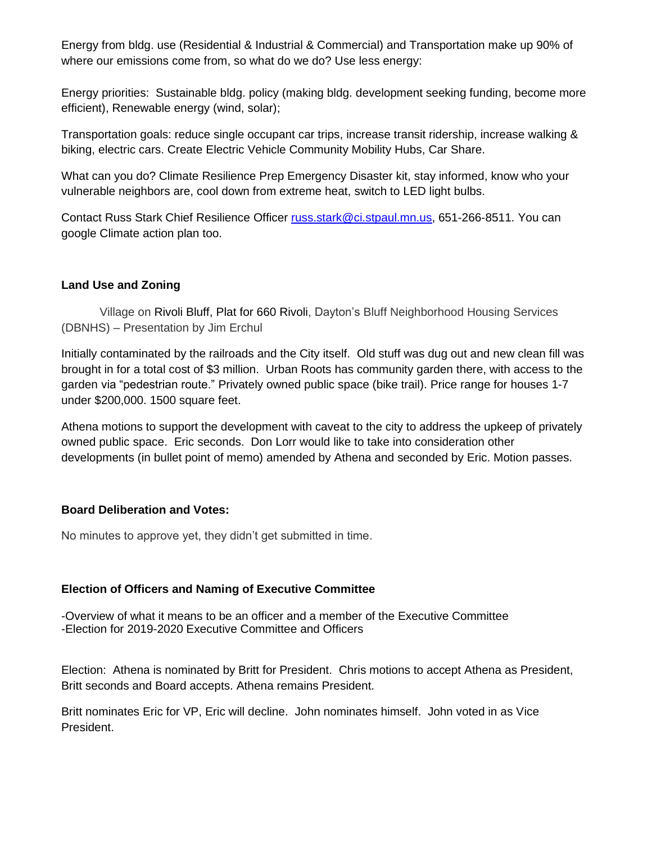Energy from bldg. use (Residential & Industrial & Commercial) and Transportation make up 90% of where our emissions come from, so what do we do? Use less energy:

Energy priorities: Sustainable bldg. policy (making bldg. development seeking funding, become more efficient), Renewable energy (wind, solar);

Transportation goals: reduce single occupant car trips, increase transit ridership, increase walking & biking, electric cars. Create Electric Vehicle Community Mobility Hubs, Car Share.

What can you do? Climate Resilience Prep Emergency Disaster kit, stay informed, know who your vulnerable neighbors are, cool down from extreme heat, switch to LED light bulbs.

Contact Russ Stark Chief Resilience Officer [russ.stark@ci.stpaul.mn.us,](mailto:russ.stark@ci.stpaul.mn.us) 651-266-8511. You can google Climate action plan too.

# **Land Use and Zoning**

Village on Rivoli Bluff, Plat for 660 Rivoli, Dayton's Bluff Neighborhood Housing Services (DBNHS) – Presentation by Jim Erchul

Initially contaminated by the railroads and the City itself. Old stuff was dug out and new clean fill was brought in for a total cost of \$3 million. Urban Roots has community garden there, with access to the garden via "pedestrian route." Privately owned public space (bike trail). Price range for houses 1-7 under \$200,000. 1500 square feet.

Athena motions to support the development with caveat to the city to address the upkeep of privately owned public space. Eric seconds. Don Lorr would like to take into consideration other developments (in bullet point of memo) amended by Athena and seconded by Eric. Motion passes.

### **Board Deliberation and Votes:**

No minutes to approve yet, they didn't get submitted in time.

### **Election of Officers and Naming of Executive Committee**

-Overview of what it means to be an officer and a member of the Executive Committee -Election for 2019-2020 Executive Committee and Officers

Election: Athena is nominated by Britt for President. Chris motions to accept Athena as President, Britt seconds and Board accepts. Athena remains President.

Britt nominates Eric for VP, Eric will decline. John nominates himself. John voted in as Vice President.